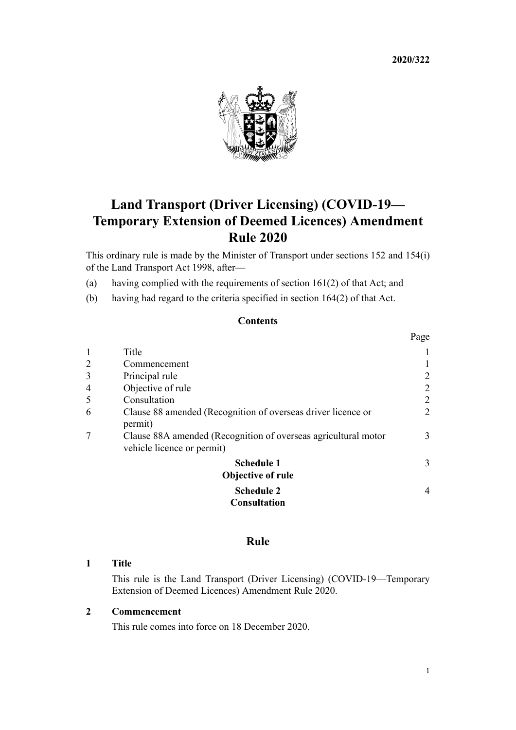**2020/322**



# **Land Transport (Driver Licensing) (COVID-19— Temporary Extension of Deemed Licences) Amendment Rule 2020**

This ordinary rule is made by the Minister of Transport under [sections 152](http://legislation.govt.nz/pdflink.aspx?id=DLM435179) and [154\(i\)](http://legislation.govt.nz/pdflink.aspx?id=DLM435183) of the Land Transport Act 1998, after—

- (a) having complied with the requirements of [section 161\(2\)](http://legislation.govt.nz/pdflink.aspx?id=DLM435195) of that Act; and
- (b) having had regard to the criteria specified in [section 164\(2\)](http://legislation.govt.nz/pdflink.aspx?id=DLM435400) of that Act.

## **Contents**

|                |                                                                                              | Page           |
|----------------|----------------------------------------------------------------------------------------------|----------------|
| 1              | Title                                                                                        |                |
| $\overline{2}$ | Commencement                                                                                 |                |
| 3              | Principal rule                                                                               | 2              |
| 4              | Objective of rule                                                                            | 2              |
| 5              | Consultation                                                                                 | 2              |
| 6              | Clause 88 amended (Recognition of overseas driver licence or<br>permit)                      | 2              |
|                | Clause 88A amended (Recognition of overseas agricultural motor<br>vehicle licence or permit) | 3              |
|                | <b>Schedule 1</b><br><b>Objective of rule</b>                                                | 3              |
|                | <b>Schedule 2</b><br><b>Consultation</b>                                                     | $\overline{4}$ |

## **Rule**

#### **1 Title**

This rule is the Land Transport (Driver Licensing) (COVID-19—Temporary Extension of Deemed Licences) Amendment Rule 2020.

## **2 Commencement**

This rule comes into force on 18 December 2020.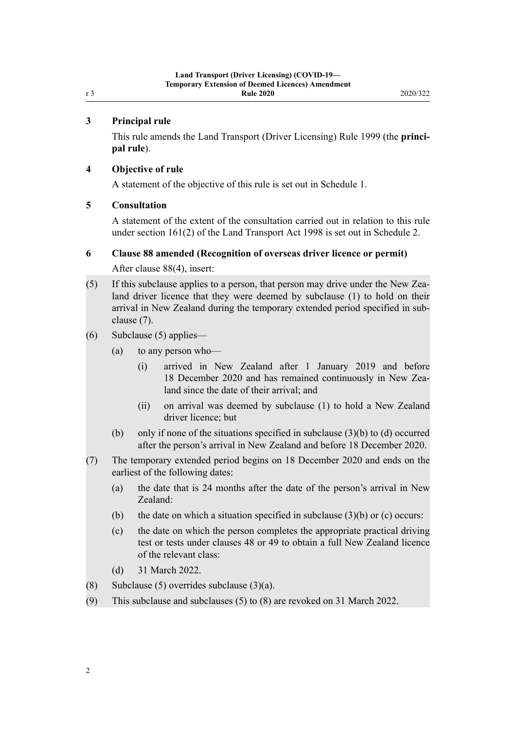#### **3 Principal rule**

<span id="page-1-0"></span>r 3

This rule amends the [Land Transport \(Driver Licensing\) Rule 1999](http://legislation.govt.nz/pdflink.aspx?id=DLM280561) (the **principal rule**).

#### **4 Objective of rule**

A statement of the objective of this rule is set out in [Schedule 1.](#page-2-0)

#### **5 Consultation**

A statement of the extent of the consultation carried out in relation to this rule under [section 161\(2\)](http://legislation.govt.nz/pdflink.aspx?id=DLM435195) of the Land Transport Act 1998 is set out in [Schedule 2](#page-3-0).

#### **6 Clause 88 amended (Recognition of overseas driver licence or permit)**

After [clause 88\(4\),](http://legislation.govt.nz/pdflink.aspx?id=DLM281967) insert:

- (5) If this subclause applies to a person, that person may drive under the New Zealand driver licence that they were deemed by subclause (1) to hold on their arrival in New Zealand during the temporary extended period specified in subclause (7).
- (6) Subclause (5) applies—
	- (a) to any person who—
		- (i) arrived in New Zealand after 1 January 2019 and before 18 December 2020 and has remained continuously in New Zealand since the date of their arrival; and
		- (ii) on arrival was deemed by subclause (1) to hold a New Zealand driver licence; but
	- (b) only if none of the situations specified in subclause  $(3)(b)$  to  $(d)$  occurred after the person's arrival in New Zealand and before 18 December 2020.
- (7) The temporary extended period begins on 18 December 2020 and ends on the earliest of the following dates:
	- (a) the date that is 24 months after the date of the person's arrival in New Zealand:
	- (b) the date on which a situation specified in subclause  $(3)(b)$  or  $(c)$  occurs:
	- (c) the date on which the person completes the appropriate practical driving test or tests under clauses 48 or 49 to obtain a full New Zealand licence of the relevant class:
	- (d) 31 March 2022.
- (8) Subclause (5) overrides subclause  $(3)(a)$ .
- (9) This subclause and subclauses (5) to (8) are revoked on 31 March 2022.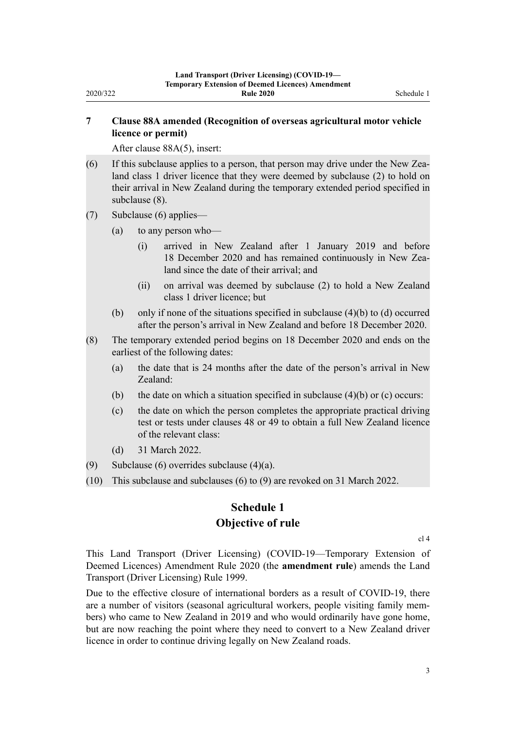## <span id="page-2-0"></span>**7 Clause 88A amended (Recognition of overseas agricultural motor vehicle licence or permit)**

After [clause 88A\(5\)](http://legislation.govt.nz/pdflink.aspx?id=DLM5261021), insert:

- (6) If this subclause applies to a person, that person may drive under the New Zealand class 1 driver licence that they were deemed by subclause (2) to hold on their arrival in New Zealand during the temporary extended period specified in subclause (8).
- (7) Subclause (6) applies—
	- (a) to any person who—
		- (i) arrived in New Zealand after 1 January 2019 and before 18 December 2020 and has remained continuously in New Zealand since the date of their arrival; and
		- (ii) on arrival was deemed by subclause (2) to hold a New Zealand class 1 driver licence; but
	- (b) only if none of the situations specified in subclause  $(4)(b)$  to  $(d)$  occurred after the person's arrival in New Zealand and before 18 December 2020.
- (8) The temporary extended period begins on 18 December 2020 and ends on the earliest of the following dates:
	- (a) the date that is 24 months after the date of the person's arrival in New Zealand:
	- (b) the date on which a situation specified in subclause  $(4)(b)$  or (c) occurs:
	- (c) the date on which the person completes the appropriate practical driving test or tests under clauses 48 or 49 to obtain a full New Zealand licence of the relevant class:
	- (d) 31 March 2022.
- (9) Subclause (6) overrides subclause (4)(a).
- (10) This subclause and subclauses (6) to (9) are revoked on 31 March 2022.

# **Schedule 1 Objective of rule**

[cl 4](#page-1-0)

This Land Transport (Driver Licensing) (COVID-19—Temporary Extension of Deemed Licences) Amendment Rule 2020 (the **amendment rule**) amends the [Land](http://legislation.govt.nz/pdflink.aspx?id=DLM280561) [Transport \(Driver Licensing\) Rule 1999.](http://legislation.govt.nz/pdflink.aspx?id=DLM280561)

Due to the effective closure of international borders as a result of COVID-19, there are a number of visitors (seasonal agricultural workers, people visiting family members) who came to New Zealand in 2019 and who would ordinarily have gone home, but are now reaching the point where they need to convert to a New Zealand driver licence in order to continue driving legally on New Zealand roads.